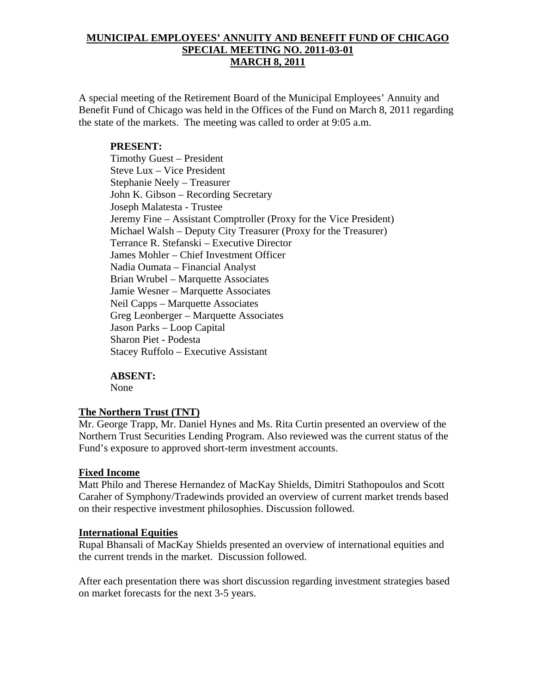## **MUNICIPAL EMPLOYEES' ANNUITY AND BENEFIT FUND OF CHICAGO SPECIAL MEETING NO. 2011-03-01 MARCH 8, 2011**

A special meeting of the Retirement Board of the Municipal Employees' Annuity and Benefit Fund of Chicago was held in the Offices of the Fund on March 8, 2011 regarding the state of the markets. The meeting was called to order at 9:05 a.m.

## **PRESENT:**

 Timothy Guest – President Steve Lux – Vice President Stephanie Neely – Treasurer John K. Gibson – Recording Secretary Joseph Malatesta - Trustee Jeremy Fine – Assistant Comptroller (Proxy for the Vice President) Michael Walsh – Deputy City Treasurer (Proxy for the Treasurer) Terrance R. Stefanski – Executive Director James Mohler – Chief Investment Officer Nadia Oumata – Financial Analyst Brian Wrubel – Marquette Associates Jamie Wesner – Marquette Associates Neil Capps – Marquette Associates Greg Leonberger – Marquette Associates Jason Parks – Loop Capital Sharon Piet - Podesta Stacey Ruffolo – Executive Assistant

#### **ABSENT:**

None

#### **The Northern Trust (TNT)**

Mr. George Trapp, Mr. Daniel Hynes and Ms. Rita Curtin presented an overview of the Northern Trust Securities Lending Program. Also reviewed was the current status of the Fund's exposure to approved short-term investment accounts.

#### **Fixed Income**

Matt Philo and Therese Hernandez of MacKay Shields, Dimitri Stathopoulos and Scott Caraher of Symphony/Tradewinds provided an overview of current market trends based on their respective investment philosophies. Discussion followed.

#### **International Equities**

Rupal Bhansali of MacKay Shields presented an overview of international equities and the current trends in the market. Discussion followed.

After each presentation there was short discussion regarding investment strategies based on market forecasts for the next 3-5 years.